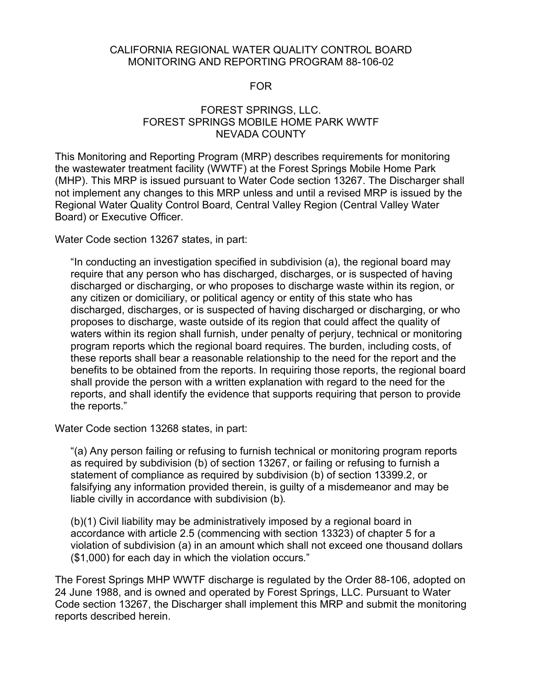#### CALIFORNIA REGIONAL WATER QUALITY CONTROL BOARD MONITORING AND REPORTING PROGRAM 88-106-02

#### FOR

## FOREST SPRINGS, LLC. FOREST SPRINGS MOBILE HOME PARK WWTF NEVADA COUNTY

This Monitoring and Reporting Program (MRP) describes requirements for monitoring the wastewater treatment facility (WWTF) at the Forest Springs Mobile Home Park (MHP). This MRP is issued pursuant to Water Code section 13267. The Discharger shall not implement any changes to this MRP unless and until a revised MRP is issued by the Regional Water Quality Control Board, Central Valley Region (Central Valley Water Board) or Executive Officer.

Water Code section 13267 states, in part:

"In conducting an investigation specified in subdivision (a), the regional board may require that any person who has discharged, discharges, or is suspected of having discharged or discharging, or who proposes to discharge waste within its region, or any citizen or domiciliary, or political agency or entity of this state who has discharged, discharges, or is suspected of having discharged or discharging, or who proposes to discharge, waste outside of its region that could affect the quality of waters within its region shall furnish, under penalty of perjury, technical or monitoring program reports which the regional board requires. The burden, including costs, of these reports shall bear a reasonable relationship to the need for the report and the benefits to be obtained from the reports. In requiring those reports, the regional board shall provide the person with a written explanation with regard to the need for the reports, and shall identify the evidence that supports requiring that person to provide the reports."

Water Code section 13268 states, in part:

"(a) Any person failing or refusing to furnish technical or monitoring program reports as required by subdivision (b) of section 13267, or failing or refusing to furnish a statement of compliance as required by subdivision (b) of section 13399.2, or falsifying any information provided therein, is guilty of a misdemeanor and may be liable civilly in accordance with subdivision (b).

(b)(1) Civil liability may be administratively imposed by a regional board in accordance with article 2.5 (commencing with section 13323) of chapter 5 for a violation of subdivision (a) in an amount which shall not exceed one thousand dollars (\$1,000) for each day in which the violation occurs."

The Forest Springs MHP WWTF discharge is regulated by the Order 88-106, adopted on 24 June 1988, and is owned and operated by Forest Springs, LLC. Pursuant to Water Code section 13267, the Discharger shall implement this MRP and submit the monitoring reports described herein.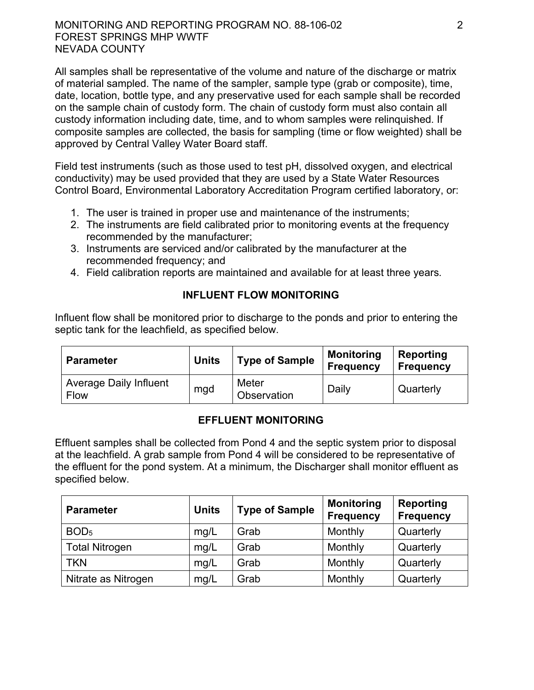### MONITORING AND REPORTING PROGRAM NO. 88-106-02 2 FOREST SPRINGS MHP WWTF NEVADA COUNTY

All samples shall be representative of the volume and nature of the discharge or matrix of material sampled. The name of the sampler, sample type (grab or composite), time, date, location, bottle type, and any preservative used for each sample shall be recorded on the sample chain of custody form. The chain of custody form must also contain all custody information including date, time, and to whom samples were relinquished. If composite samples are collected, the basis for sampling (time or flow weighted) shall be approved by Central Valley Water Board staff.

Field test instruments (such as those used to test pH, dissolved oxygen, and electrical conductivity) may be used provided that they are used by a State Water Resources Control Board, Environmental Laboratory Accreditation Program certified laboratory, or:

- 1. The user is trained in proper use and maintenance of the instruments;
- 2. The instruments are field calibrated prior to monitoring events at the frequency recommended by the manufacturer;
- 3. Instruments are serviced and/or calibrated by the manufacturer at the recommended frequency; and
- 4. Field calibration reports are maintained and available for at least three years.

## **INFLUENT FLOW MONITORING**

Influent flow shall be monitored prior to discharge to the ponds and prior to entering the septic tank for the leachfield, as specified below.

| <b>Parameter</b>                             | <b>Units</b> | <b>Type of Sample</b>       | <b>Monitoring</b><br><b>Frequency</b> | Reporting<br><b>Frequency</b> |
|----------------------------------------------|--------------|-----------------------------|---------------------------------------|-------------------------------|
| <b>Average Daily Influent</b><br><b>Flow</b> | mgd          | Meter<br><b>Observation</b> | Daily                                 | Quarterly                     |

# **EFFLUENT MONITORING**

Effluent samples shall be collected from Pond 4 and the septic system prior to disposal at the leachfield. A grab sample from Pond 4 will be considered to be representative of the effluent for the pond system. At a minimum, the Discharger shall monitor effluent as specified below.

| <b>Parameter</b>      | <b>Units</b> | <b>Type of Sample</b> | <b>Monitoring</b><br><b>Frequency</b> | <b>Reporting</b><br><b>Frequency</b> |
|-----------------------|--------------|-----------------------|---------------------------------------|--------------------------------------|
| BOD <sub>5</sub>      | mg/L         | Grab                  | Monthly                               | Quarterly                            |
| <b>Total Nitrogen</b> | mg/L         | Grab                  | Monthly                               | Quarterly                            |
| TKN                   | mg/L         | Grab                  | Monthly                               | Quarterly                            |
| Nitrate as Nitrogen   | mg/L         | Grab                  | Monthly                               | Quarterly                            |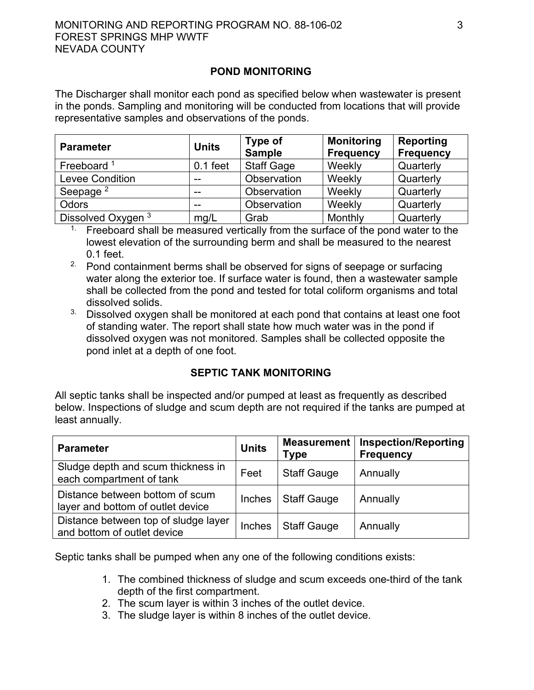#### MONITORING AND REPORTING PROGRAM NO. 88-106-02  $\hspace{1.5cm}$  3 FOREST SPRINGS MHP WWTF NEVADA COUNTY

#### **POND MONITORING**

The Discharger shall monitor each pond as specified below when wastewater is present in the ponds. Sampling and monitoring will be conducted from locations that will provide representative samples and observations of the ponds.

| <b>Parameter</b>       | <b>Units</b> | Type of<br><b>Sample</b> | <b>Monitoring</b><br><b>Frequency</b> | <b>Reporting</b><br><b>Frequency</b> |
|------------------------|--------------|--------------------------|---------------------------------------|--------------------------------------|
| Freeboard $1$          | $0.1$ feet   | <b>Staff Gage</b>        | Weekly                                | Quarterly                            |
| <b>Levee Condition</b> | $- -$        | Observation              | Weekly                                | Quarterly                            |
| Seepage <sup>2</sup>   | $- -$        | Observation              | Weekly                                | Quarterly                            |
| Odors                  | $- -$        | Observation              | Weekly                                | Quarterly                            |
| Dissolved Oxygen 3     | mg/L         | Grab                     | Monthly                               | Quarterly                            |

<sup>1.</sup> Freeboard shall be measured vertically from the surface of the pond water to the lowest elevation of the surrounding berm and shall be measured to the nearest 0.1 feet.

- <sup>2.</sup> Pond containment berms shall be observed for signs of seepage or surfacing water along the exterior toe. If surface water is found, then a wastewater sample shall be collected from the pond and tested for total coliform organisms and total dissolved solids.
- <sup>3.</sup> Dissolved oxygen shall be monitored at each pond that contains at least one foot of standing water. The report shall state how much water was in the pond if dissolved oxygen was not monitored. Samples shall be collected opposite the pond inlet at a depth of one foot.

#### **SEPTIC TANK MONITORING**

All septic tanks shall be inspected and/or pumped at least as frequently as described below. Inspections of sludge and scum depth are not required if the tanks are pumped at least annually.

| <b>Parameter</b>                                                     | <b>Units</b>  | <b>Measurement</b><br><b>Type</b> | <b>Inspection/Reporting</b><br><b>Frequency</b> |
|----------------------------------------------------------------------|---------------|-----------------------------------|-------------------------------------------------|
| Sludge depth and scum thickness in<br>each compartment of tank       | Feet          | <b>Staff Gauge</b>                | Annually                                        |
| Distance between bottom of scum<br>layer and bottom of outlet device | <b>Inches</b> | <b>Staff Gauge</b>                | Annually                                        |
| Distance between top of sludge layer<br>and bottom of outlet device  | Inches        | <b>Staff Gauge</b>                | Annually                                        |

Septic tanks shall be pumped when any one of the following conditions exists:

- 1. The combined thickness of sludge and scum exceeds one-third of the tank depth of the first compartment.
- 2. The scum layer is within 3 inches of the outlet device.
- 3. The sludge layer is within 8 inches of the outlet device.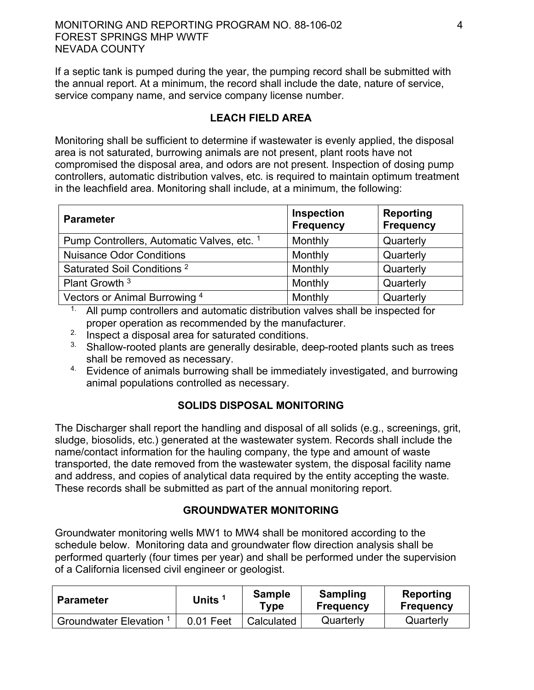### MONITORING AND REPORTING PROGRAM NO. 88-106-02 4 FOREST SPRINGS MHP WWTF NEVADA COUNTY

If a septic tank is pumped during the year, the pumping record shall be submitted with the annual report. At a minimum, the record shall include the date, nature of service, service company name, and service company license number.

### **LEACH FIELD AREA**

Monitoring shall be sufficient to determine if wastewater is evenly applied, the disposal area is not saturated, burrowing animals are not present, plant roots have not compromised the disposal area, and odors are not present. Inspection of dosing pump controllers, automatic distribution valves, etc. is required to maintain optimum treatment in the leachfield area. Monitoring shall include, at a minimum, the following:

| <b>Parameter</b>                           | Inspection<br><b>Frequency</b> | Reporting<br>Frequency |
|--------------------------------------------|--------------------------------|------------------------|
| Pump Controllers, Automatic Valves, etc. 1 | Monthly                        | Quarterly              |
| <b>Nuisance Odor Conditions</b>            | Monthly                        | Quarterly              |
| Saturated Soil Conditions <sup>2</sup>     | Monthly                        | Quarterly              |
| Plant Growth <sup>3</sup>                  | Monthly                        | Quarterly              |
| Vectors or Animal Burrowing 4              | Monthly                        | Quarterly              |

 $1$ . All pump controllers and automatic distribution valves shall be inspected for proper operation as recommended by the manufacturer.

- 2. Inspect a disposal area for saturated conditions.
- <sup>3</sup> Shallow-rooted plants are generally desirable, deep-rooted plants such as trees shall be removed as necessary.
- $4.$  Evidence of animals burrowing shall be immediately investigated, and burrowing animal populations controlled as necessary.

# **SOLIDS DISPOSAL MONITORING**

The Discharger shall report the handling and disposal of all solids (e.g., screenings, grit, sludge, biosolids, etc.) generated at the wastewater system. Records shall include the name/contact information for the hauling company, the type and amount of waste transported, the date removed from the wastewater system, the disposal facility name and address, and copies of analytical data required by the entity accepting the waste. These records shall be submitted as part of the annual monitoring report.

#### **GROUNDWATER MONITORING**

Groundwater monitoring wells MW1 to MW4 shall be monitored according to the schedule below. Monitoring data and groundwater flow direction analysis shall be performed quarterly (four times per year) and shall be performed under the supervision of a California licensed civil engineer or geologist.

| <b>Parameter</b>             | <b>Units</b> | <b>Sample</b><br>Type | Sampling<br><b>Frequency</b> | Reporting<br><b>Frequency</b> |
|------------------------------|--------------|-----------------------|------------------------------|-------------------------------|
| <b>Groundwater Elevation</b> | 0.01 Feet    | Calculated            | Quarterly                    | Quarterly                     |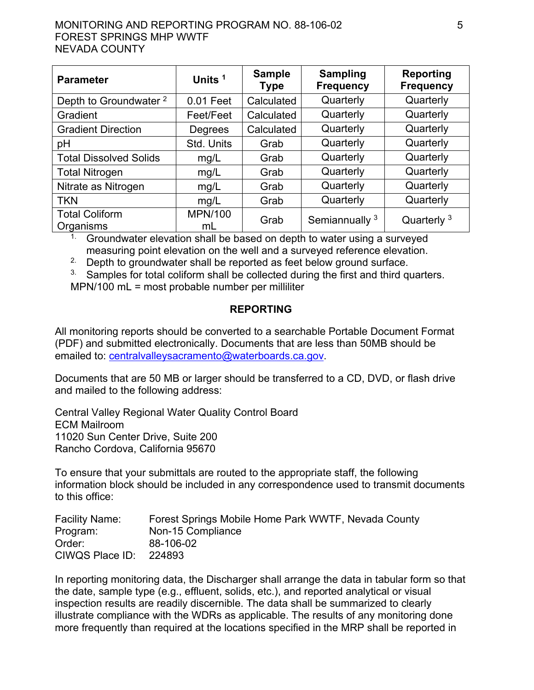#### MONITORING AND REPORTING PROGRAM NO. 88-106-02  $\hspace{1.5cm}$  5 FOREST SPRINGS MHP WWTF NEVADA COUNTY

| <b>Parameter</b>                   | <b>Sample</b><br>Units <sup>1</sup><br><b>Type</b> |            | <b>Sampling</b><br><b>Frequency</b> | Reporting<br><b>Frequency</b> |
|------------------------------------|----------------------------------------------------|------------|-------------------------------------|-------------------------------|
| Depth to Groundwater <sup>2</sup>  | $0.01$ Feet                                        | Calculated | Quarterly                           | Quarterly                     |
| Gradient                           | Feet/Feet                                          | Calculated | Quarterly                           | Quarterly                     |
| <b>Gradient Direction</b>          | Degrees                                            | Calculated | Quarterly                           | Quarterly                     |
| pH                                 | Std. Units                                         | Grab       | Quarterly                           | Quarterly                     |
| <b>Total Dissolved Solids</b>      | mg/L                                               | Grab       | Quarterly                           | Quarterly                     |
| <b>Total Nitrogen</b>              | mg/L                                               | Grab       | Quarterly                           | Quarterly                     |
| Nitrate as Nitrogen                | mg/L                                               | Grab       | Quarterly                           | Quarterly                     |
| <b>TKN</b>                         | mg/L                                               | Grab       | Quarterly                           | Quarterly                     |
| <b>Total Coliform</b><br>Organisms | <b>MPN/100</b><br>mL                               | Grab       | Semiannually <sup>3</sup>           | Quarterly $3$                 |

<sup>1.</sup> Groundwater elevation shall be based on depth to water using a surveyed measuring point elevation on the well and a surveyed reference elevation.

<sup>2</sup> Depth to groundwater shall be reported as feet below ground surface.

 $3.$  Samples for total coliform shall be collected during the first and third quarters. MPN/100 mL = most probable number per milliliter

## **REPORTING**

All monitoring reports should be converted to a searchable Portable Document Format (PDF) and submitted electronically. Documents that are less than 50MB should be emailed to: [centralvalleysacramento@waterboards.ca.gov](mailto:centralvalleysacramento@waterboards.ca.gov).

Documents that are 50 MB or larger should be transferred to a CD, DVD, or flash drive and mailed to the following address:

Central Valley Regional Water Quality Control Board ECM Mailroom 11020 Sun Center Drive, Suite 200 Rancho Cordova, California 95670

To ensure that your submittals are routed to the appropriate staff, the following information block should be included in any correspondence used to transmit documents to this office:

| <b>Facility Name:</b> | Forest Springs Mobile Home Park WWTF, Nevada County |
|-----------------------|-----------------------------------------------------|
| Program:              | Non-15 Compliance                                   |
| Order:                | 88-106-02                                           |
| CIWQS Place ID:       | 224893                                              |

In reporting monitoring data, the Discharger shall arrange the data in tabular form so that the date, sample type (e.g., effluent, solids, etc.), and reported analytical or visual inspection results are readily discernible. The data shall be summarized to clearly illustrate compliance with the WDRs as applicable. The results of any monitoring done more frequently than required at the locations specified in the MRP shall be reported in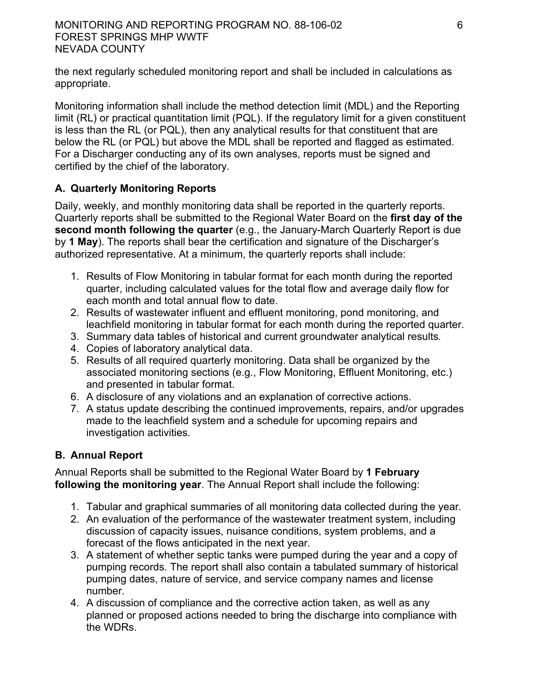#### MONITORING AND REPORTING PROGRAM NO. 88-106-02 6 FOREST SPRINGS MHP WWTF NEVADA COUNTY

the next regularly scheduled monitoring report and shall be included in calculations as appropriate.

Monitoring information shall include the method detection limit (MDL) and the Reporting limit (RL) or practical quantitation limit (PQL). If the regulatory limit for a given constituent is less than the RL (or PQL), then any analytical results for that constituent that are below the RL (or PQL) but above the MDL shall be reported and flagged as estimated. For a Discharger conducting any of its own analyses, reports must be signed and certified by the chief of the laboratory.

# **A. Quarterly Monitoring Reports**

Daily, weekly, and monthly monitoring data shall be reported in the quarterly reports. Quarterly reports shall be submitted to the Regional Water Board on the **first day of the second month following the quarter** (e.g., the January-March Quarterly Report is due by **1 May**). The reports shall bear the certification and signature of the Discharger's authorized representative. At a minimum, the quarterly reports shall include:

- 1. Results of Flow Monitoring in tabular format for each month during the reported quarter, including calculated values for the total flow and average daily flow for each month and total annual flow to date.
- 2. Results of wastewater influent and effluent monitoring, pond monitoring, and leachfield monitoring in tabular format for each month during the reported quarter.
- 3. Summary data tables of historical and current groundwater analytical results.
- 4. Copies of laboratory analytical data.
- 5. Results of all required quarterly monitoring. Data shall be organized by the associated monitoring sections (e.g., Flow Monitoring, Effluent Monitoring, etc.) and presented in tabular format.
- 6. A disclosure of any violations and an explanation of corrective actions.
- 7. A status update describing the continued improvements, repairs, and/or upgrades made to the leachfield system and a schedule for upcoming repairs and investigation activities.

# **B. Annual Report**

Annual Reports shall be submitted to the Regional Water Board by **1 February following the monitoring year**. The Annual Report shall include the following:

- 1. Tabular and graphical summaries of all monitoring data collected during the year.
- 2. An evaluation of the performance of the wastewater treatment system, including discussion of capacity issues, nuisance conditions, system problems, and a forecast of the flows anticipated in the next year.
- 3. A statement of whether septic tanks were pumped during the year and a copy of pumping records. The report shall also contain a tabulated summary of historical pumping dates, nature of service, and service company names and license number.
- 4. A discussion of compliance and the corrective action taken, as well as any planned or proposed actions needed to bring the discharge into compliance with the WDRs.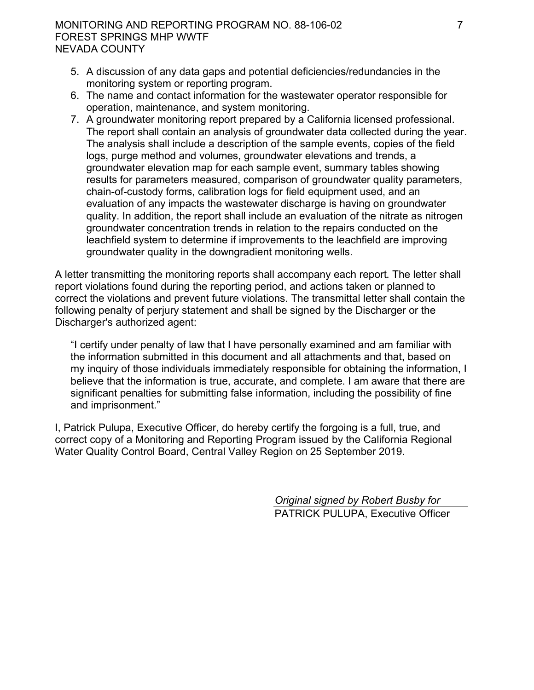#### MONITORING AND REPORTING PROGRAM NO. 88-106-02 7 FOREST SPRINGS MHP WWTF NEVADA COUNTY

- 5. A discussion of any data gaps and potential deficiencies/redundancies in the monitoring system or reporting program.
- 6. The name and contact information for the wastewater operator responsible for operation, maintenance, and system monitoring.
- 7. A groundwater monitoring report prepared by a California licensed professional. The report shall contain an analysis of groundwater data collected during the year. The analysis shall include a description of the sample events, copies of the field logs, purge method and volumes, groundwater elevations and trends, a groundwater elevation map for each sample event, summary tables showing results for parameters measured, comparison of groundwater quality parameters, chain-of-custody forms, calibration logs for field equipment used, and an evaluation of any impacts the wastewater discharge is having on groundwater quality. In addition, the report shall include an evaluation of the nitrate as nitrogen groundwater concentration trends in relation to the repairs conducted on the leachfield system to determine if improvements to the leachfield are improving groundwater quality in the downgradient monitoring wells.

A letter transmitting the monitoring reports shall accompany each report. The letter shall report violations found during the reporting period, and actions taken or planned to correct the violations and prevent future violations. The transmittal letter shall contain the following penalty of perjury statement and shall be signed by the Discharger or the Discharger's authorized agent:

"I certify under penalty of law that I have personally examined and am familiar with the information submitted in this document and all attachments and that, based on my inquiry of those individuals immediately responsible for obtaining the information, I believe that the information is true, accurate, and complete. I am aware that there are significant penalties for submitting false information, including the possibility of fine and imprisonment."

I, Patrick Pulupa, Executive Officer, do hereby certify the forgoing is a full, true, and correct copy of a Monitoring and Reporting Program issued by the California Regional Water Quality Control Board, Central Valley Region on 25 September 2019.

> *Original signed by Robert Busby for* PATRICK PULUPA, Executive Officer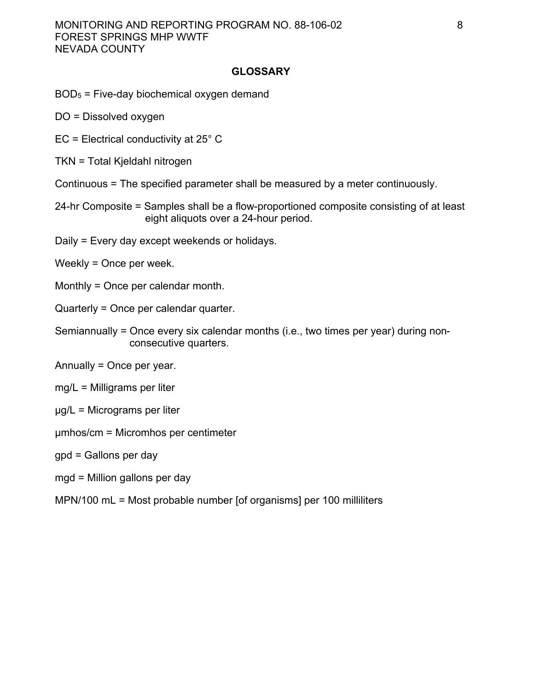#### **GLOSSARY**

# $BOD<sub>5</sub>$  = Five-day biochemical oxygen demand

- DO = Dissolved oxygen
- EC = Electrical conductivity at 25° C
- TKN = Total Kjeldahl nitrogen
- Continuous = The specified parameter shall be measured by a meter continuously.
- 24-hr Composite = Samples shall be a flow-proportioned composite consisting of at least eight aliquots over a 24-hour period.
- Daily = Every day except weekends or holidays.
- Weekly = Once per week.
- Monthly = Once per calendar month.
- Quarterly = Once per calendar quarter.
- Semiannually = Once every six calendar months (i.e., two times per year) during nonconsecutive quarters.
- Annually = Once per year.
- mg/L = Milligrams per liter
- μg/L = Micrograms per liter
- μmhos/cm = Micromhos per centimeter
- gpd = Gallons per day
- mgd = Million gallons per day
- MPN/100 mL = Most probable number [of organisms] per 100 milliliters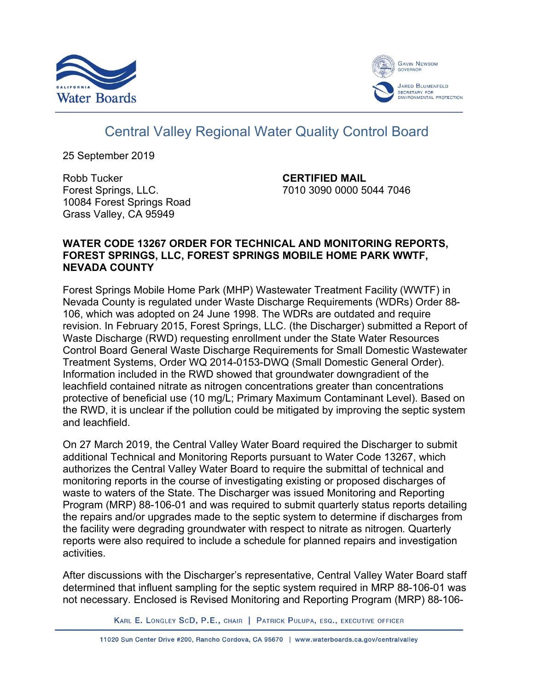



# Central Valley Regional Water Quality Control Board

25 September 2019

Robb Tucker Forest Springs, LLC. 10084 Forest Springs Road Grass Valley, CA 95949

**CERTIFIED MAIL** 7010 3090 0000 5044 7046

## **WATER CODE 13267 ORDER FOR TECHNICAL AND MONITORING REPORTS, FOREST SPRINGS, LLC, FOREST SPRINGS MOBILE HOME PARK WWTF, NEVADA COUNTY**

Forest Springs Mobile Home Park (MHP) Wastewater Treatment Facility (WWTF) in Nevada County is regulated under Waste Discharge Requirements (WDRs) Order 88- 106, which was adopted on 24 June 1998. The WDRs are outdated and require revision. In February 2015, Forest Springs, LLC. (the Discharger) submitted a Report of Waste Discharge (RWD) requesting enrollment under the State Water Resources Control Board General Waste Discharge Requirements for Small Domestic Wastewater Treatment Systems, Order WQ 2014-0153-DWQ (Small Domestic General Order). Information included in the RWD showed that groundwater downgradient of the leachfield contained nitrate as nitrogen concentrations greater than concentrations protective of beneficial use (10 mg/L; Primary Maximum Contaminant Level). Based on the RWD, it is unclear if the pollution could be mitigated by improving the septic system and leachfield.

On 27 March 2019, the Central Valley Water Board required the Discharger to submit additional Technical and Monitoring Reports pursuant to Water Code 13267, which authorizes the Central Valley Water Board to require the submittal of technical and monitoring reports in the course of investigating existing or proposed discharges of waste to waters of the State. The Discharger was issued Monitoring and Reporting Program (MRP) 88-106-01 and was required to submit quarterly status reports detailing the repairs and/or upgrades made to the septic system to determine if discharges from the facility were degrading groundwater with respect to nitrate as nitrogen. Quarterly reports were also required to include a schedule for planned repairs and investigation activities.

After discussions with the Discharger's representative, Central Valley Water Board staff determined that influent sampling for the septic system required in MRP 88-106-01 was not necessary. Enclosed is Revised Monitoring and Reporting Program (MRP) 88-106-

KARL E. LONGLEY SCD, P.E., CHAIR | PATRICK PULUPA, ESQ., EXECUTIVE OFFICER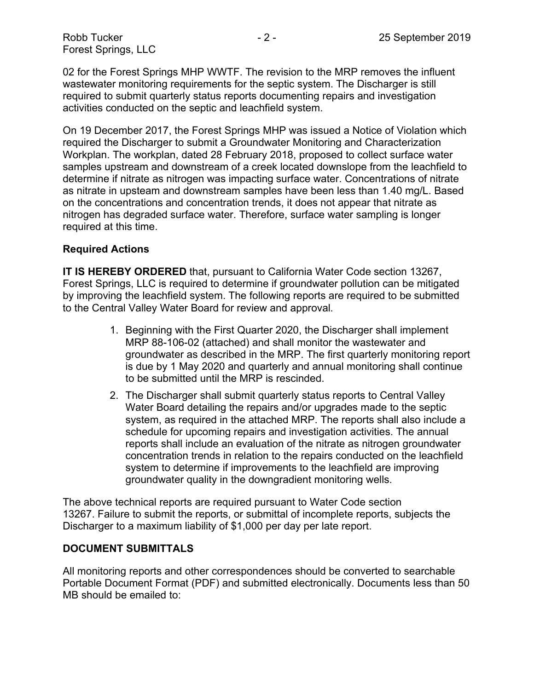Robb Tucker - 2 - 2 - 2 - 25 September 2019 Forest Springs, LLC

02 for the Forest Springs MHP WWTF. The revision to the MRP removes the influent wastewater monitoring requirements for the septic system. The Discharger is still required to submit quarterly status reports documenting repairs and investigation activities conducted on the septic and leachfield system.

On 19 December 2017, the Forest Springs MHP was issued a Notice of Violation which required the Discharger to submit a Groundwater Monitoring and Characterization Workplan. The workplan, dated 28 February 2018, proposed to collect surface water samples upstream and downstream of a creek located downslope from the leachfield to determine if nitrate as nitrogen was impacting surface water. Concentrations of nitrate as nitrate in upsteam and downstream samples have been less than 1.40 mg/L. Based on the concentrations and concentration trends, it does not appear that nitrate as nitrogen has degraded surface water. Therefore, surface water sampling is longer required at this time.

#### **Required Actions**

**IT IS HEREBY ORDERED** that, pursuant to California Water Code section 13267, Forest Springs, LLC is required to determine if groundwater pollution can be mitigated by improving the leachfield system. The following reports are required to be submitted to the Central Valley Water Board for review and approval.

- 1. Beginning with the First Quarter 2020, the Discharger shall implement MRP 88-106-02 (attached) and shall monitor the wastewater and groundwater as described in the MRP. The first quarterly monitoring report is due by 1 May 2020 and quarterly and annual monitoring shall continue to be submitted until the MRP is rescinded.
- 2. The Discharger shall submit quarterly status reports to Central Valley Water Board detailing the repairs and/or upgrades made to the septic system, as required in the attached MRP. The reports shall also include a schedule for upcoming repairs and investigation activities. The annual reports shall include an evaluation of the nitrate as nitrogen groundwater concentration trends in relation to the repairs conducted on the leachfield system to determine if improvements to the leachfield are improving groundwater quality in the downgradient monitoring wells.

The above technical reports are required pursuant to Water Code section 13267. Failure to submit the reports, or submittal of incomplete reports, subjects the Discharger to a maximum liability of \$1,000 per day per late report.

#### **DOCUMENT SUBMITTALS**

All monitoring reports and other correspondences should be converted to searchable Portable Document Format (PDF) and submitted electronically. Documents less than 50 MB should be emailed to: